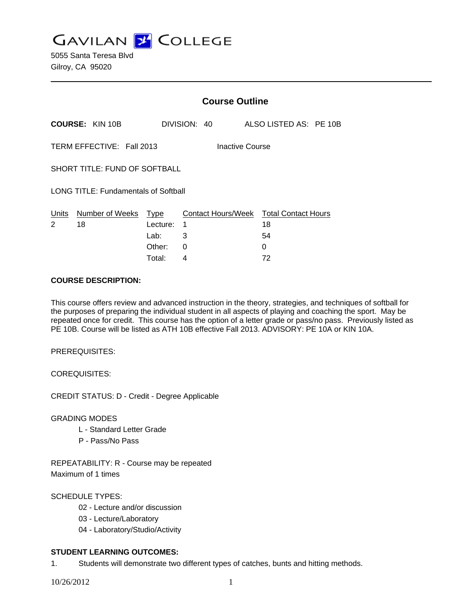**GAVILAN Z COLLEGE** 

5055 Santa Teresa Blvd Gilroy, CA 95020

|                                              |                        | <b>Course Outline</b> |                         |  |  |  |                                  |  |  |
|----------------------------------------------|------------------------|-----------------------|-------------------------|--|--|--|----------------------------------|--|--|
|                                              | <b>COURSE: KIN 10B</b> |                       | DIVISION: 40            |  |  |  | ALSO LISTED AS: PE 10B           |  |  |
| TERM EFFECTIVE: Fall 2013<br>Inactive Course |                        |                       |                         |  |  |  |                                  |  |  |
| SHORT TITLE: FUND OF SOFTBALL                |                        |                       |                         |  |  |  |                                  |  |  |
| LONG TITLE: Fundamentals of Softball         |                        |                       |                         |  |  |  |                                  |  |  |
| Units<br>2                                   | Number of Weeks<br>18  | Type<br>Lecture:      | Contact Hours/Week<br>1 |  |  |  | <b>Total Contact Hours</b><br>18 |  |  |
|                                              |                        | Lab:                  | 3                       |  |  |  | 54                               |  |  |
|                                              |                        | Other:                | 0                       |  |  |  | 0                                |  |  |

Total: 4 72

## **COURSE DESCRIPTION:**

This course offers review and advanced instruction in the theory, strategies, and techniques of softball for the purposes of preparing the individual student in all aspects of playing and coaching the sport. May be repeated once for credit. This course has the option of a letter grade or pass/no pass. Previously listed as PE 10B. Course will be listed as ATH 10B effective Fall 2013. ADVISORY: PE 10A or KIN 10A.

PREREQUISITES:

COREQUISITES:

CREDIT STATUS: D - Credit - Degree Applicable

GRADING MODES

- L Standard Letter Grade
- P Pass/No Pass

REPEATABILITY: R - Course may be repeated Maximum of 1 times

# SCHEDULE TYPES:

- 02 Lecture and/or discussion
- 03 Lecture/Laboratory
- 04 Laboratory/Studio/Activity

# **STUDENT LEARNING OUTCOMES:**

1. Students will demonstrate two different types of catches, bunts and hitting methods.

10/26/2012 1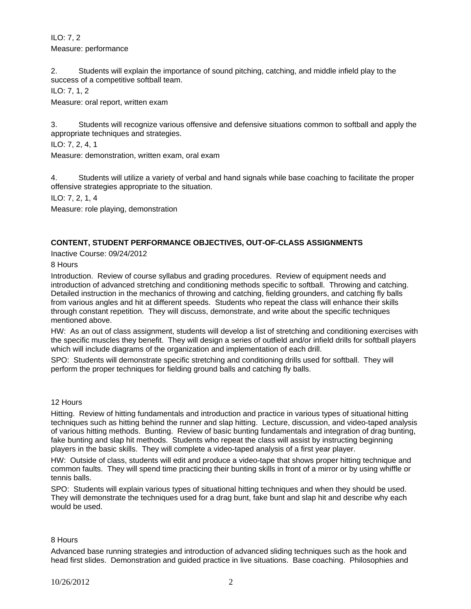ILO: 7, 2 Measure: performance

2. Students will explain the importance of sound pitching, catching, and middle infield play to the success of a competitive softball team.

ILO: 7, 1, 2

Measure: oral report, written exam

3. Students will recognize various offensive and defensive situations common to softball and apply the appropriate techniques and strategies.

ILO: 7, 2, 4, 1

Measure: demonstration, written exam, oral exam

4. Students will utilize a variety of verbal and hand signals while base coaching to facilitate the proper offensive strategies appropriate to the situation.

ILO: 7, 2, 1, 4

Measure: role playing, demonstration

# **CONTENT, STUDENT PERFORMANCE OBJECTIVES, OUT-OF-CLASS ASSIGNMENTS**

Inactive Course: 09/24/2012

8 Hours

Introduction. Review of course syllabus and grading procedures. Review of equipment needs and introduction of advanced stretching and conditioning methods specific to softball. Throwing and catching. Detailed instruction in the mechanics of throwing and catching, fielding grounders, and catching fly balls from various angles and hit at different speeds. Students who repeat the class will enhance their skills through constant repetition. They will discuss, demonstrate, and write about the specific techniques mentioned above.

HW: As an out of class assignment, students will develop a list of stretching and conditioning exercises with the specific muscles they benefit. They will design a series of outfield and/or infield drills for softball players which will include diagrams of the organization and implementation of each drill.

SPO: Students will demonstrate specific stretching and conditioning drills used for softball. They will perform the proper techniques for fielding ground balls and catching fly balls.

### 12 Hours

Hitting. Review of hitting fundamentals and introduction and practice in various types of situational hitting techniques such as hitting behind the runner and slap hitting. Lecture, discussion, and video-taped analysis of various hitting methods. Bunting. Review of basic bunting fundamentals and integration of drag bunting, fake bunting and slap hit methods. Students who repeat the class will assist by instructing beginning players in the basic skills. They will complete a video-taped analysis of a first year player.

HW: Outside of class, students will edit and produce a video-tape that shows proper hitting technique and common faults. They will spend time practicing their bunting skills in front of a mirror or by using whiffle or tennis balls.

SPO: Students will explain various types of situational hitting techniques and when they should be used. They will demonstrate the techniques used for a drag bunt, fake bunt and slap hit and describe why each would be used.

### 8 Hours

Advanced base running strategies and introduction of advanced sliding techniques such as the hook and head first slides. Demonstration and guided practice in live situations. Base coaching. Philosophies and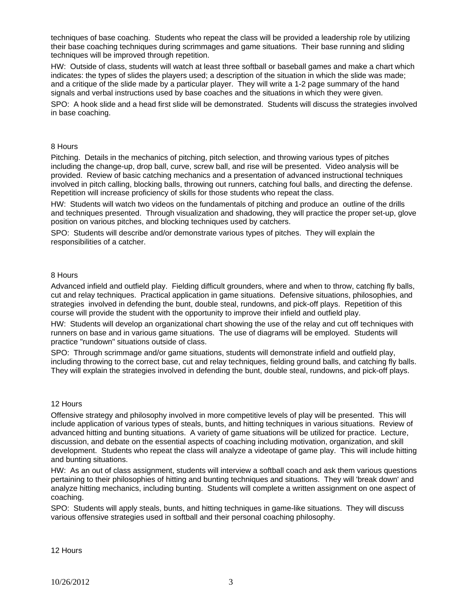techniques of base coaching. Students who repeat the class will be provided a leadership role by utilizing their base coaching techniques during scrimmages and game situations. Their base running and sliding techniques will be improved through repetition.

HW: Outside of class, students will watch at least three softball or baseball games and make a chart which indicates: the types of slides the players used; a description of the situation in which the slide was made; and a critique of the slide made by a particular player. They will write a 1-2 page summary of the hand signals and verbal instructions used by base coaches and the situations in which they were given.

SPO: A hook slide and a head first slide will be demonstrated. Students will discuss the strategies involved in base coaching.

### 8 Hours

Pitching. Details in the mechanics of pitching, pitch selection, and throwing various types of pitches including the change-up, drop ball, curve, screw ball, and rise will be presented. Video analysis will be provided. Review of basic catching mechanics and a presentation of advanced instructional techniques involved in pitch calling, blocking balls, throwing out runners, catching foul balls, and directing the defense. Repetition will increase proficiency of skills for those students who repeat the class.

HW: Students will watch two videos on the fundamentals of pitching and produce an outline of the drills and techniques presented. Through visualization and shadowing, they will practice the proper set-up, glove position on various pitches, and blocking techniques used by catchers.

SPO: Students will describe and/or demonstrate various types of pitches. They will explain the responsibilities of a catcher.

#### 8 Hours

Advanced infield and outfield play. Fielding difficult grounders, where and when to throw, catching fly balls, cut and relay techniques. Practical application in game situations. Defensive situations, philosophies, and strategies involved in defending the bunt, double steal, rundowns, and pick-off plays. Repetition of this course will provide the student with the opportunity to improve their infield and outfield play.

HW: Students will develop an organizational chart showing the use of the relay and cut off techniques with runners on base and in various game situations. The use of diagrams will be employed. Students will practice "rundown" situations outside of class.

SPO: Through scrimmage and/or game situations, students will demonstrate infield and outfield play, including throwing to the correct base, cut and relay techniques, fielding ground balls, and catching fly balls. They will explain the strategies involved in defending the bunt, double steal, rundowns, and pick-off plays.

#### 12 Hours

Offensive strategy and philosophy involved in more competitive levels of play will be presented. This will include application of various types of steals, bunts, and hitting techniques in various situations. Review of advanced hitting and bunting situations. A variety of game situations will be utilized for practice. Lecture, discussion, and debate on the essential aspects of coaching including motivation, organization, and skill development. Students who repeat the class will analyze a videotape of game play. This will include hitting and bunting situations.

HW: As an out of class assignment, students will interview a softball coach and ask them various questions pertaining to their philosophies of hitting and bunting techniques and situations. They will 'break down' and analyze hitting mechanics, including bunting. Students will complete a written assignment on one aspect of coaching.

SPO: Students will apply steals, bunts, and hitting techniques in game-like situations. They will discuss various offensive strategies used in softball and their personal coaching philosophy.

12 Hours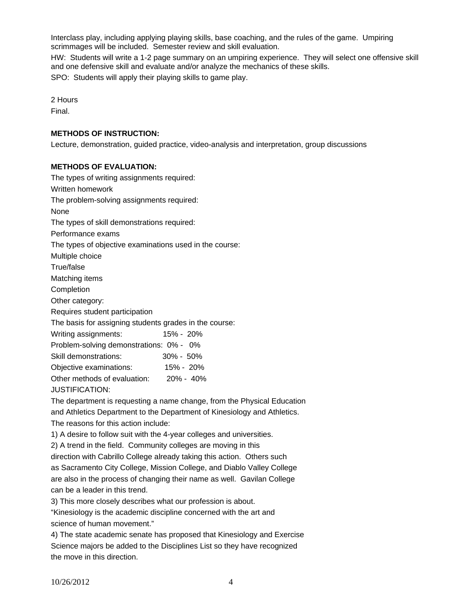Interclass play, including applying playing skills, base coaching, and the rules of the game. Umpiring scrimmages will be included. Semester review and skill evaluation.

HW: Students will write a 1-2 page summary on an umpiring experience. They will select one offensive skill and one defensive skill and evaluate and/or analyze the mechanics of these skills.

SPO: Students will apply their playing skills to game play.

2 Hours

Final.

# **METHODS OF INSTRUCTION:**

Lecture, demonstration, guided practice, video-analysis and interpretation, group discussions

## **METHODS OF EVALUATION:**

The types of writing assignments required: Written homework The problem-solving assignments required: None The types of skill demonstrations required: Performance exams The types of objective examinations used in the course: Multiple choice True/false Matching items **Completion** Other category: Requires student participation The basis for assigning students grades in the course: Writing assignments: 15% - 20% Problem-solving demonstrations: 0% - 0% Skill demonstrations: 30% - 50% Objective examinations: 15% - 20% Other methods of evaluation: 20% - 40% JUSTIFICATION:

The department is requesting a name change, from the Physical Education and Athletics Department to the Department of Kinesiology and Athletics. The reasons for this action include:

1) A desire to follow suit with the 4-year colleges and universities.

2) A trend in the field. Community colleges are moving in this

direction with Cabrillo College already taking this action. Others such as Sacramento City College, Mission College, and Diablo Valley College are also in the process of changing their name as well. Gavilan College can be a leader in this trend.

3) This more closely describes what our profession is about.

"Kinesiology is the academic discipline concerned with the art and science of human movement."

4) The state academic senate has proposed that Kinesiology and Exercise Science majors be added to the Disciplines List so they have recognized the move in this direction.